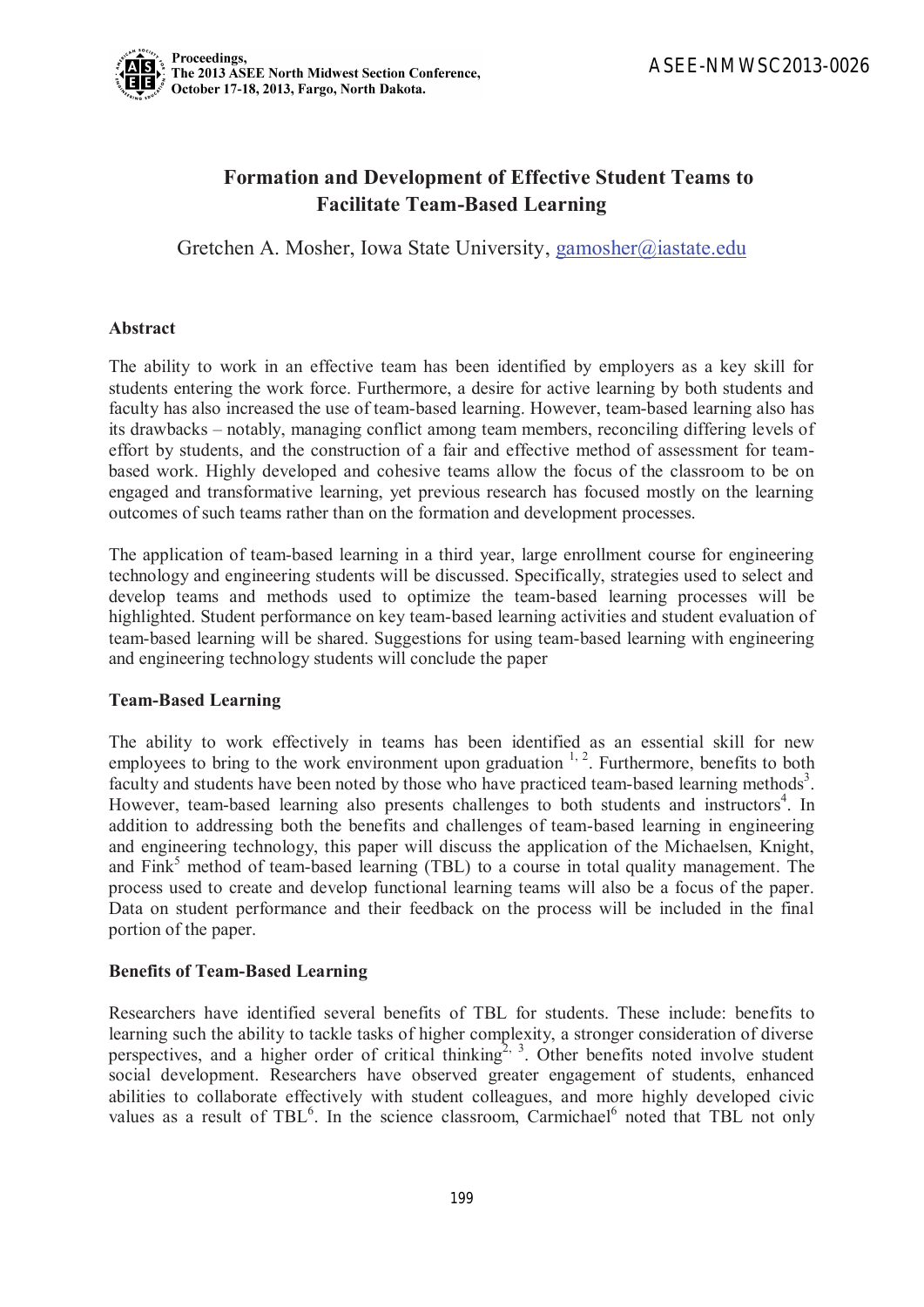# **Formation and Development of Effective Student Teams to Facilitate Team-Based Learning**

Gretchen A. Mosher, Iowa State University, gamosher@iastate.edu

## **Abstract**

The ability to work in an effective team has been identified by employers as a key skill for students entering the work force. Furthermore, a desire for active learning by both students and faculty has also increased the use of team-based learning. However, team-based learning also has its drawbacks – notably, managing conflict among team members, reconciling differing levels of effort by students, and the construction of a fair and effective method of assessment for teambased work. Highly developed and cohesive teams allow the focus of the classroom to be on engaged and transformative learning, yet previous research has focused mostly on the learning outcomes of such teams rather than on the formation and development processes.

The application of team-based learning in a third year, large enrollment course for engineering technology and engineering students will be discussed. Specifically, strategies used to select and develop teams and methods used to optimize the team-based learning processes will be highlighted. Student performance on key team-based learning activities and student evaluation of team-based learning will be shared. Suggestions for using team-based learning with engineering and engineering technology students will conclude the paper

#### **Team-Based Learning**

The ability to work effectively in teams has been identified as an essential skill for new employees to bring to the work environment upon graduation  $1, 2$ . Furthermore, benefits to both faculty and students have been noted by those who have practiced team-based learning methods<sup>3</sup>. However, team-based learning also presents challenges to both students and instructors<sup>4</sup>. In addition to addressing both the benefits and challenges of team-based learning in engineering and engineering technology, this paper will discuss the application of the Michaelsen, Knight, and Fink<sup>5</sup> method of team-based learning (TBL) to a course in total quality management. The process used to create and develop functional learning teams will also be a focus of the paper. Data on student performance and their feedback on the process will be included in the final portion of the paper.

# **Benefits of Team-Based Learning**

Researchers have identified several benefits of TBL for students. These include: benefits to learning such the ability to tackle tasks of higher complexity, a stronger consideration of diverse perspectives, and a higher order of critical thinking<sup>2, 3</sup>. Other benefits noted involve student social development. Researchers have observed greater engagement of students, enhanced abilities to collaborate effectively with student colleagues, and more highly developed civic values as a result of TBL<sup>6</sup>. In the science classroom, Carmichael<sup>6</sup> noted that TBL not only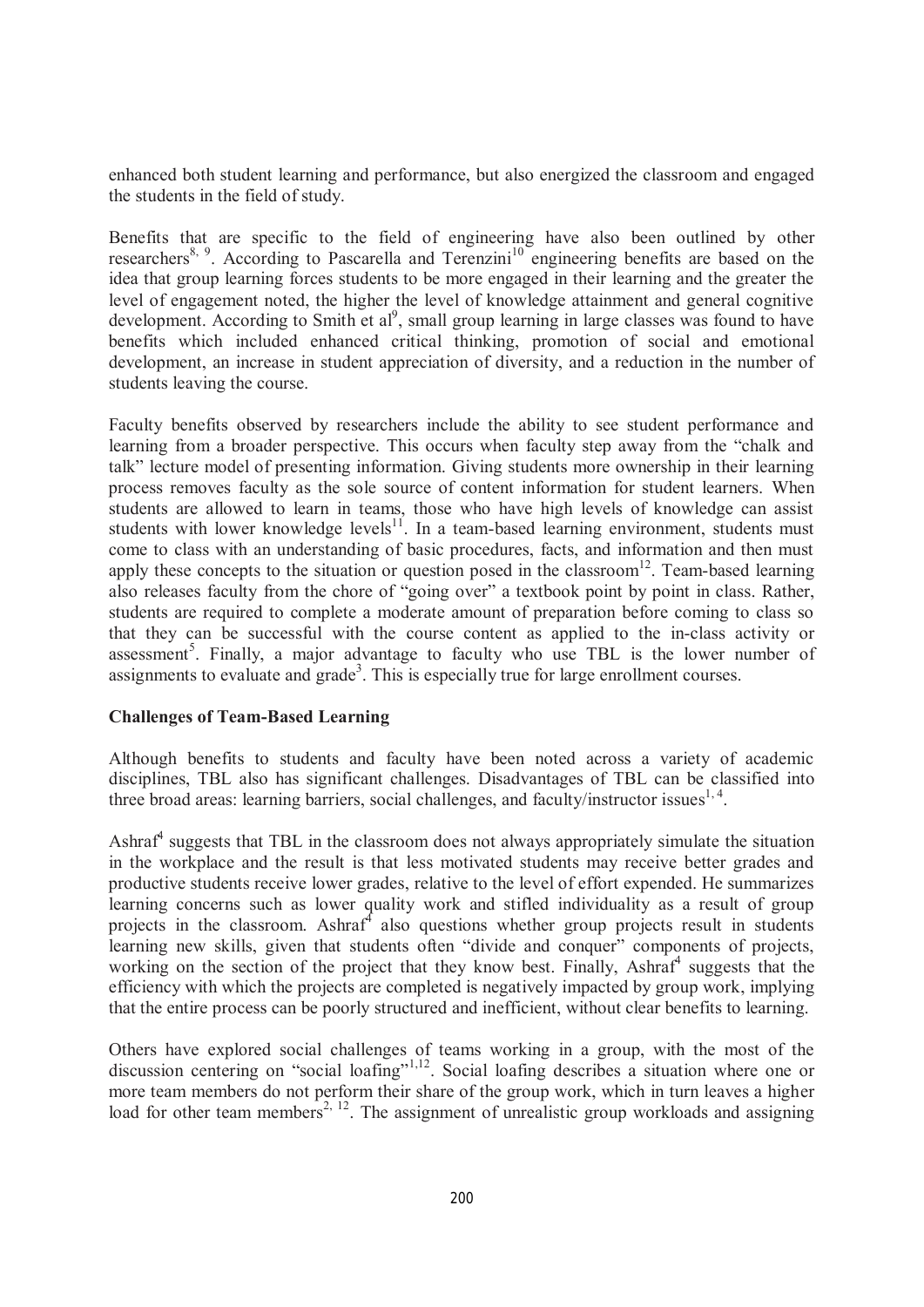enhanced both student learning and performance, but also energized the classroom and engaged the students in the field of study.

Benefits that are specific to the field of engineering have also been outlined by other researchers<sup>8, 9</sup>. According to Pascarella and Terenzini<sup>10</sup> engineering benefits are based on the idea that group learning forces students to be more engaged in their learning and the greater the level of engagement noted, the higher the level of knowledge attainment and general cognitive development. According to Smith et al<sup>9</sup>, small group learning in large classes was found to have benefits which included enhanced critical thinking, promotion of social and emotional development, an increase in student appreciation of diversity, and a reduction in the number of students leaving the course.

Faculty benefits observed by researchers include the ability to see student performance and learning from a broader perspective. This occurs when faculty step away from the "chalk and talk" lecture model of presenting information. Giving students more ownership in their learning process removes faculty as the sole source of content information for student learners. When students are allowed to learn in teams, those who have high levels of knowledge can assist students with lower knowledge levels $11$ . In a team-based learning environment, students must come to class with an understanding of basic procedures, facts, and information and then must apply these concepts to the situation or question posed in the classroom<sup>12</sup>. Team-based learning also releases faculty from the chore of "going over" a textbook point by point in class. Rather, students are required to complete a moderate amount of preparation before coming to class so that they can be successful with the course content as applied to the in-class activity or assessment<sup>5</sup>. Finally, a major advantage to faculty who use TBL is the lower number of assignments to evaluate and grade<sup>3</sup>. This is especially true for large enrollment courses.

#### **Challenges of Team-Based Learning**

Although benefits to students and faculty have been noted across a variety of academic disciplines, TBL also has significant challenges. Disadvantages of TBL can be classified into three broad areas: learning barriers, social challenges, and faculty/instructor issues<sup>1, 4</sup>.

Ashraf<sup>4</sup> suggests that TBL in the classroom does not always appropriately simulate the situation in the workplace and the result is that less motivated students may receive better grades and productive students receive lower grades, relative to the level of effort expended. He summarizes learning concerns such as lower quality work and stifled individuality as a result of group projects in the classroom. Ashraf<sup>4</sup> also questions whether group projects result in students learning new skills, given that students often "divide and conquer" components of projects, working on the section of the project that they know best. Finally, Ashraf<sup>4</sup> suggests that the efficiency with which the projects are completed is negatively impacted by group work, implying that the entire process can be poorly structured and inefficient, without clear benefits to learning.

Others have explored social challenges of teams working in a group, with the most of the discussion centering on "social loafing"<sup>1,12</sup>. Social loafing describes a situation where one or more team members do not perform their share of the group work, which in turn leaves a higher load for other team members<sup>2, 12</sup>. The assignment of unrealistic group workloads and assigning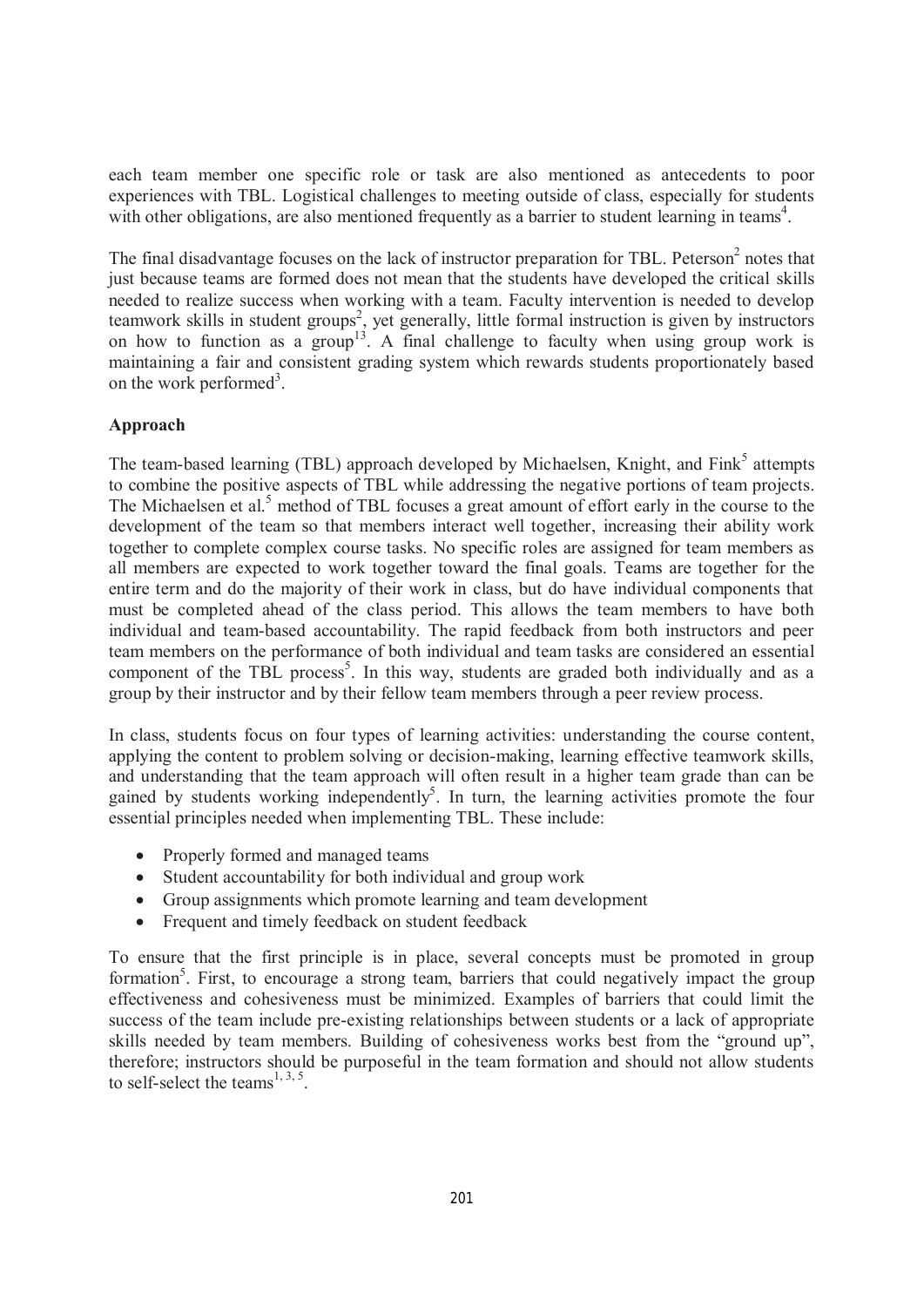each team member one specific role or task are also mentioned as antecedents to poor experiences with TBL. Logistical challenges to meeting outside of class, especially for students with other obligations, are also mentioned frequently as a barrier to student learning in teams<sup>4</sup>.

The final disadvantage focuses on the lack of instructor preparation for TBL. Peterson<sup>2</sup> notes that just because teams are formed does not mean that the students have developed the critical skills needed to realize success when working with a team. Faculty intervention is needed to develop teamwork skills in student groups<sup>2</sup>, yet generally, little formal instruction is given by instructors on how to function as a group<sup>13</sup>. A final challenge to faculty when using group work is maintaining a fair and consistent grading system which rewards students proportionately based on the work performed<sup>3</sup>.

## **Approach**

The team-based learning (TBL) approach developed by Michaelsen, Knight, and Fink<sup>5</sup> attempts to combine the positive aspects of TBL while addressing the negative portions of team projects. The Michaelsen et al.<sup>5</sup> method of TBL focuses a great amount of effort early in the course to the development of the team so that members interact well together, increasing their ability work together to complete complex course tasks. No specific roles are assigned for team members as all members are expected to work together toward the final goals. Teams are together for the entire term and do the majority of their work in class, but do have individual components that must be completed ahead of the class period. This allows the team members to have both individual and team-based accountability. The rapid feedback from both instructors and peer team members on the performance of both individual and team tasks are considered an essential component of the TBL process<sup>5</sup>. In this way, students are graded both individually and as a group by their instructor and by their fellow team members through a peer review process.

In class, students focus on four types of learning activities: understanding the course content, applying the content to problem solving or decision-making, learning effective teamwork skills, and understanding that the team approach will often result in a higher team grade than can be gained by students working independently<sup>5</sup>. In turn, the learning activities promote the four essential principles needed when implementing TBL. These include:

- · Properly formed and managed teams
- Student accountability for both individual and group work
- · Group assignments which promote learning and team development
- Frequent and timely feedback on student feedback

To ensure that the first principle is in place, several concepts must be promoted in group formation<sup>5</sup>. First, to encourage a strong team, barriers that could negatively impact the group effectiveness and cohesiveness must be minimized. Examples of barriers that could limit the success of the team include pre-existing relationships between students or a lack of appropriate skills needed by team members. Building of cohesiveness works best from the "ground up", therefore; instructors should be purposeful in the team formation and should not allow students to self-select the teams<sup>1, 3, 5</sup>.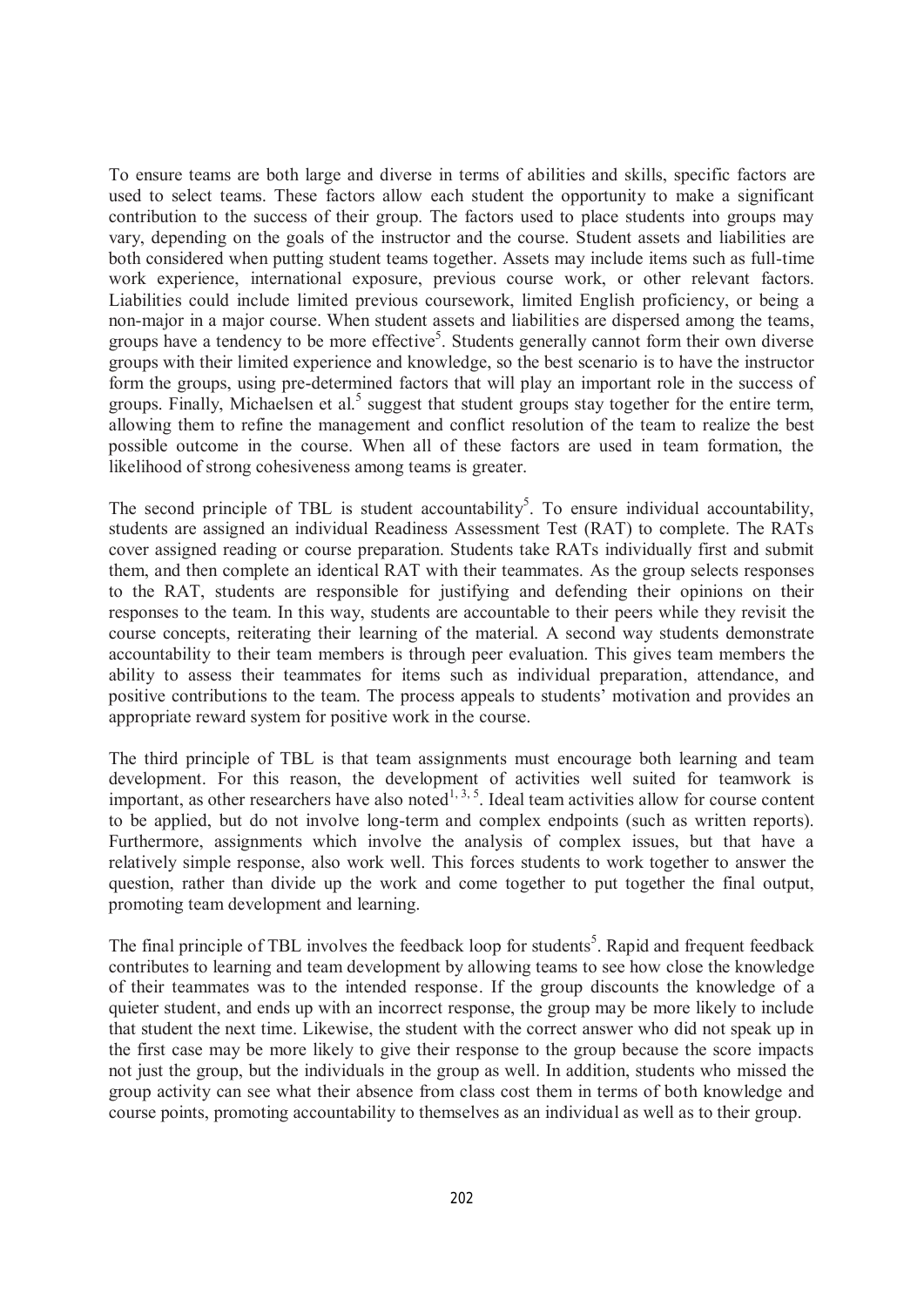To ensure teams are both large and diverse in terms of abilities and skills, specific factors are used to select teams. These factors allow each student the opportunity to make a significant contribution to the success of their group. The factors used to place students into groups may vary, depending on the goals of the instructor and the course. Student assets and liabilities are both considered when putting student teams together. Assets may include items such as full-time work experience, international exposure, previous course work, or other relevant factors. Liabilities could include limited previous coursework, limited English proficiency, or being a non-major in a major course. When student assets and liabilities are dispersed among the teams, groups have a tendency to be more effective<sup>5</sup>. Students generally cannot form their own diverse groups with their limited experience and knowledge, so the best scenario is to have the instructor form the groups, using pre-determined factors that will play an important role in the success of groups. Finally, Michaelsen et al.<sup>5</sup> suggest that student groups stay together for the entire term, allowing them to refine the management and conflict resolution of the team to realize the best possible outcome in the course. When all of these factors are used in team formation, the likelihood of strong cohesiveness among teams is greater.

The second principle of TBL is student accountability<sup>5</sup>. To ensure individual accountability, students are assigned an individual Readiness Assessment Test (RAT) to complete. The RATs cover assigned reading or course preparation. Students take RATs individually first and submit them, and then complete an identical RAT with their teammates. As the group selects responses to the RAT, students are responsible for justifying and defending their opinions on their responses to the team. In this way, students are accountable to their peers while they revisit the course concepts, reiterating their learning of the material. A second way students demonstrate accountability to their team members is through peer evaluation. This gives team members the ability to assess their teammates for items such as individual preparation, attendance, and positive contributions to the team. The process appeals to students' motivation and provides an appropriate reward system for positive work in the course.

The third principle of TBL is that team assignments must encourage both learning and team development. For this reason, the development of activities well suited for teamwork is important, as other researchers have also noted<sup>1, 3, 5</sup>. Ideal team activities allow for course content to be applied, but do not involve long-term and complex endpoints (such as written reports). Furthermore, assignments which involve the analysis of complex issues, but that have a relatively simple response, also work well. This forces students to work together to answer the question, rather than divide up the work and come together to put together the final output, promoting team development and learning.

The final principle of TBL involves the feedback loop for students<sup>5</sup>. Rapid and frequent feedback contributes to learning and team development by allowing teams to see how close the knowledge of their teammates was to the intended response. If the group discounts the knowledge of a quieter student, and ends up with an incorrect response, the group may be more likely to include that student the next time. Likewise, the student with the correct answer who did not speak up in the first case may be more likely to give their response to the group because the score impacts not just the group, but the individuals in the group as well. In addition, students who missed the group activity can see what their absence from class cost them in terms of both knowledge and course points, promoting accountability to themselves as an individual as well as to their group.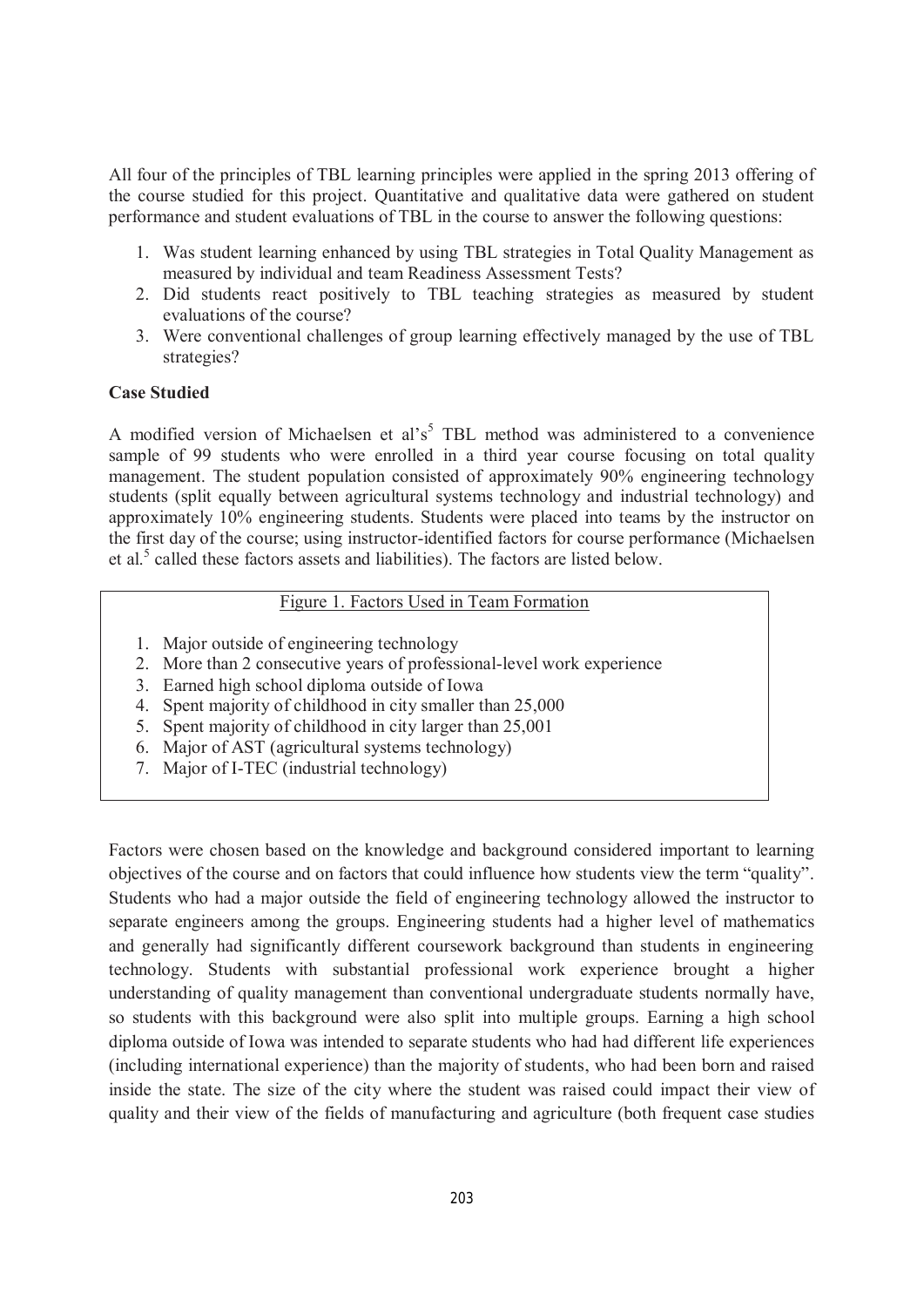All four of the principles of TBL learning principles were applied in the spring 2013 offering of the course studied for this project. Quantitative and qualitative data were gathered on student performance and student evaluations of TBL in the course to answer the following questions:

- 1. Was student learning enhanced by using TBL strategies in Total Quality Management as measured by individual and team Readiness Assessment Tests?
- 2. Did students react positively to TBL teaching strategies as measured by student evaluations of the course?
- 3. Were conventional challenges of group learning effectively managed by the use of TBL strategies?

## **Case Studied**

A modified version of Michaelsen et al's<sup>5</sup> TBL method was administered to a convenience sample of 99 students who were enrolled in a third year course focusing on total quality management. The student population consisted of approximately 90% engineering technology students (split equally between agricultural systems technology and industrial technology) and approximately 10% engineering students. Students were placed into teams by the instructor on the first day of the course; using instructor-identified factors for course performance (Michaelsen et al.<sup>5</sup> called these factors assets and liabilities). The factors are listed below.

# Figure 1. Factors Used in Team Formation

- 1. Major outside of engineering technology
- 2. More than 2 consecutive years of professional-level work experience
- 3. Earned high school diploma outside of Iowa
- 4. Spent majority of childhood in city smaller than 25,000
- 5. Spent majority of childhood in city larger than 25,001
- 6. Major of AST (agricultural systems technology)
- 7. Major of I-TEC (industrial technology)

Factors were chosen based on the knowledge and background considered important to learning objectives of the course and on factors that could influence how students view the term "quality". Students who had a major outside the field of engineering technology allowed the instructor to separate engineers among the groups. Engineering students had a higher level of mathematics and generally had significantly different coursework background than students in engineering technology. Students with substantial professional work experience brought a higher understanding of quality management than conventional undergraduate students normally have, so students with this background were also split into multiple groups. Earning a high school diploma outside of Iowa was intended to separate students who had had different life experiences (including international experience) than the majority of students, who had been born and raised inside the state. The size of the city where the student was raised could impact their view of quality and their view of the fields of manufacturing and agriculture (both frequent case studies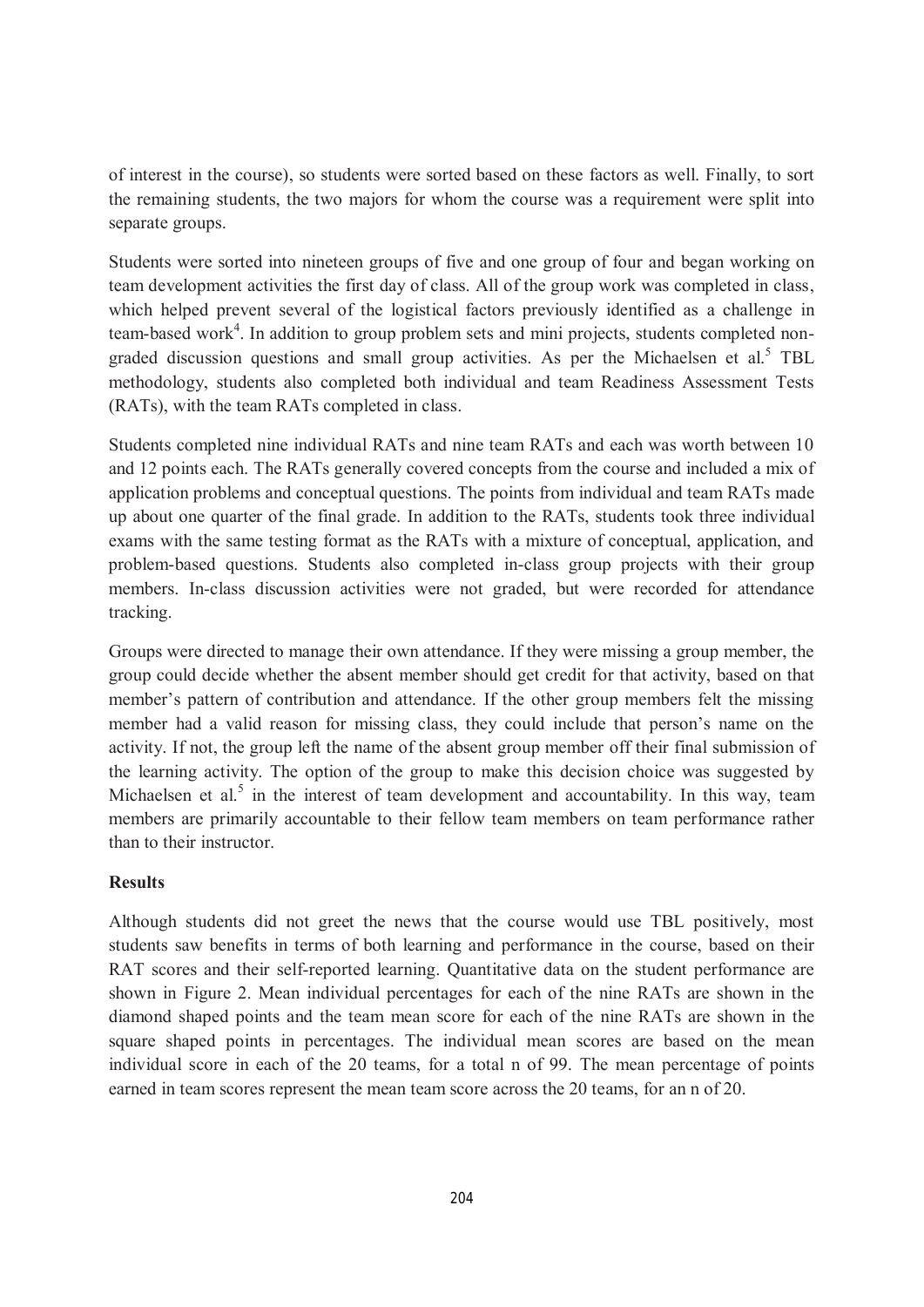of interest in the course), so students were sorted based on these factors as well. Finally, to sort the remaining students, the two majors for whom the course was a requirement were split into separate groups.

Students were sorted into nineteen groups of five and one group of four and began working on team development activities the first day of class. All of the group work was completed in class, which helped prevent several of the logistical factors previously identified as a challenge in team-based work<sup>4</sup>. In addition to group problem sets and mini projects, students completed nongraded discussion questions and small group activities. As per the Michaelsen et al.<sup>5</sup> TBL methodology, students also completed both individual and team Readiness Assessment Tests (RATs), with the team RATs completed in class.

Students completed nine individual RATs and nine team RATs and each was worth between 10 and 12 points each. The RATs generally covered concepts from the course and included a mix of application problems and conceptual questions. The points from individual and team RATs made up about one quarter of the final grade. In addition to the RATs, students took three individual exams with the same testing format as the RATs with a mixture of conceptual, application, and problem-based questions. Students also completed in-class group projects with their group members. In-class discussion activities were not graded, but were recorded for attendance tracking.

Groups were directed to manage their own attendance. If they were missing a group member, the group could decide whether the absent member should get credit for that activity, based on that member's pattern of contribution and attendance. If the other group members felt the missing member had a valid reason for missing class, they could include that person's name on the activity. If not, the group left the name of the absent group member off their final submission of the learning activity. The option of the group to make this decision choice was suggested by Michaelsen et al. $<sup>5</sup>$  in the interest of team development and accountability. In this way, team</sup> members are primarily accountable to their fellow team members on team performance rather than to their instructor.

#### **Results**

Although students did not greet the news that the course would use TBL positively, most students saw benefits in terms of both learning and performance in the course, based on their RAT scores and their self-reported learning. Quantitative data on the student performance are shown in Figure 2. Mean individual percentages for each of the nine RATs are shown in the diamond shaped points and the team mean score for each of the nine RATs are shown in the square shaped points in percentages. The individual mean scores are based on the mean individual score in each of the 20 teams, for a total n of 99. The mean percentage of points earned in team scores represent the mean team score across the 20 teams, for an n of 20.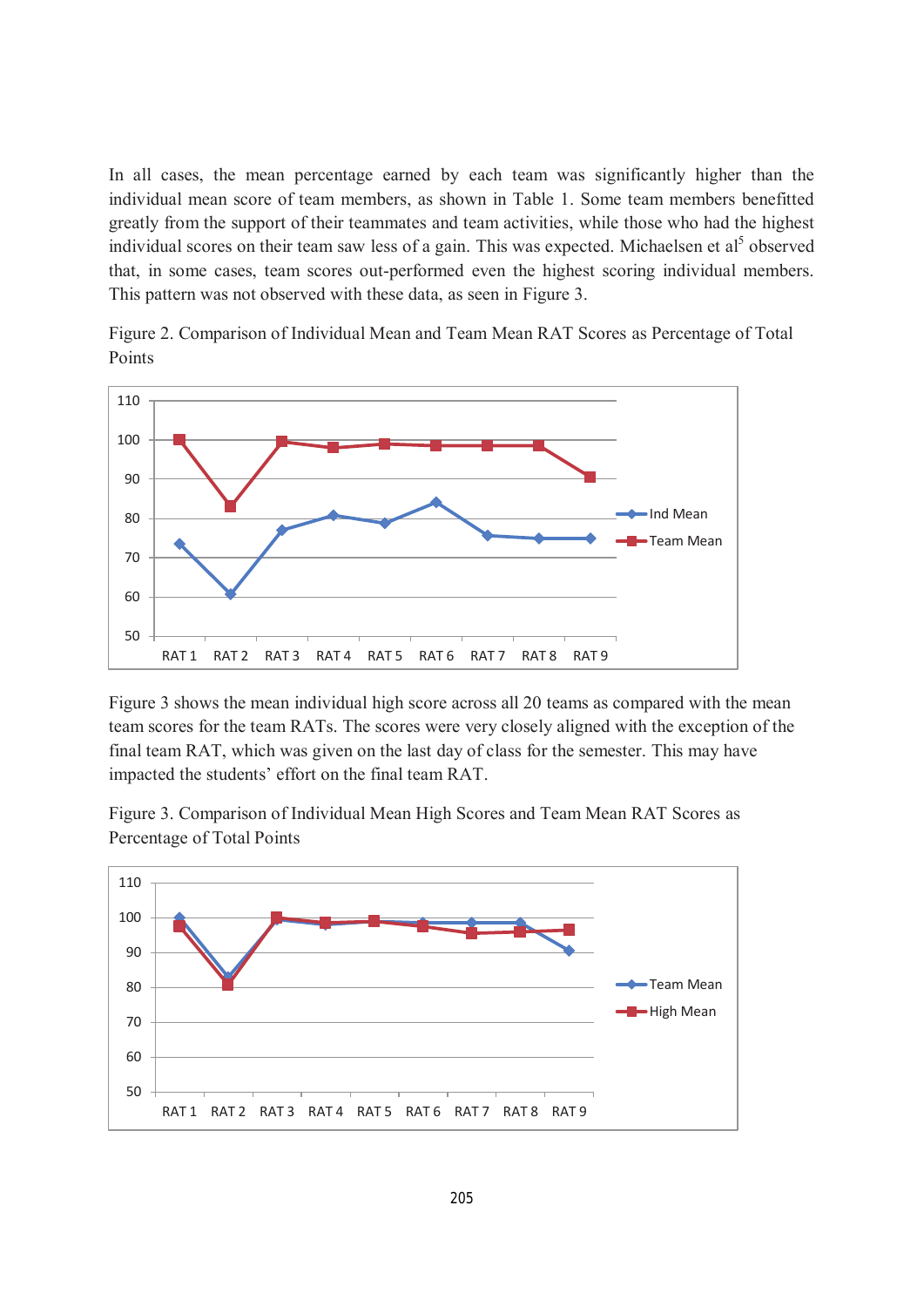In all cases, the mean percentage earned by each team was significantly higher than the individual mean score of team members, as shown in Table 1. Some team members benefitted greatly from the support of their teammates and team activities, while those who had the highest individual scores on their team saw less of a gain. This was expected. Michaelsen et al<sup>5</sup> observed that, in some cases, team scores out-performed even the highest scoring individual members. This pattern was not observed with these data, as seen in Figure 3.

Figure 2. Comparison of Individual Mean and Team Mean RAT Scores as Percentage of Total Points



Figure 3 shows the mean individual high score across all 20 teams as compared with the mean team scores for the team RATs. The scores were very closely aligned with the exception of the final team RAT, which was given on the last day of class for the semester. This may have impacted the students' effort on the final team RAT.

Figure 3. Comparison of Individual Mean High Scores and Team Mean RAT Scores as Percentage of Total Points

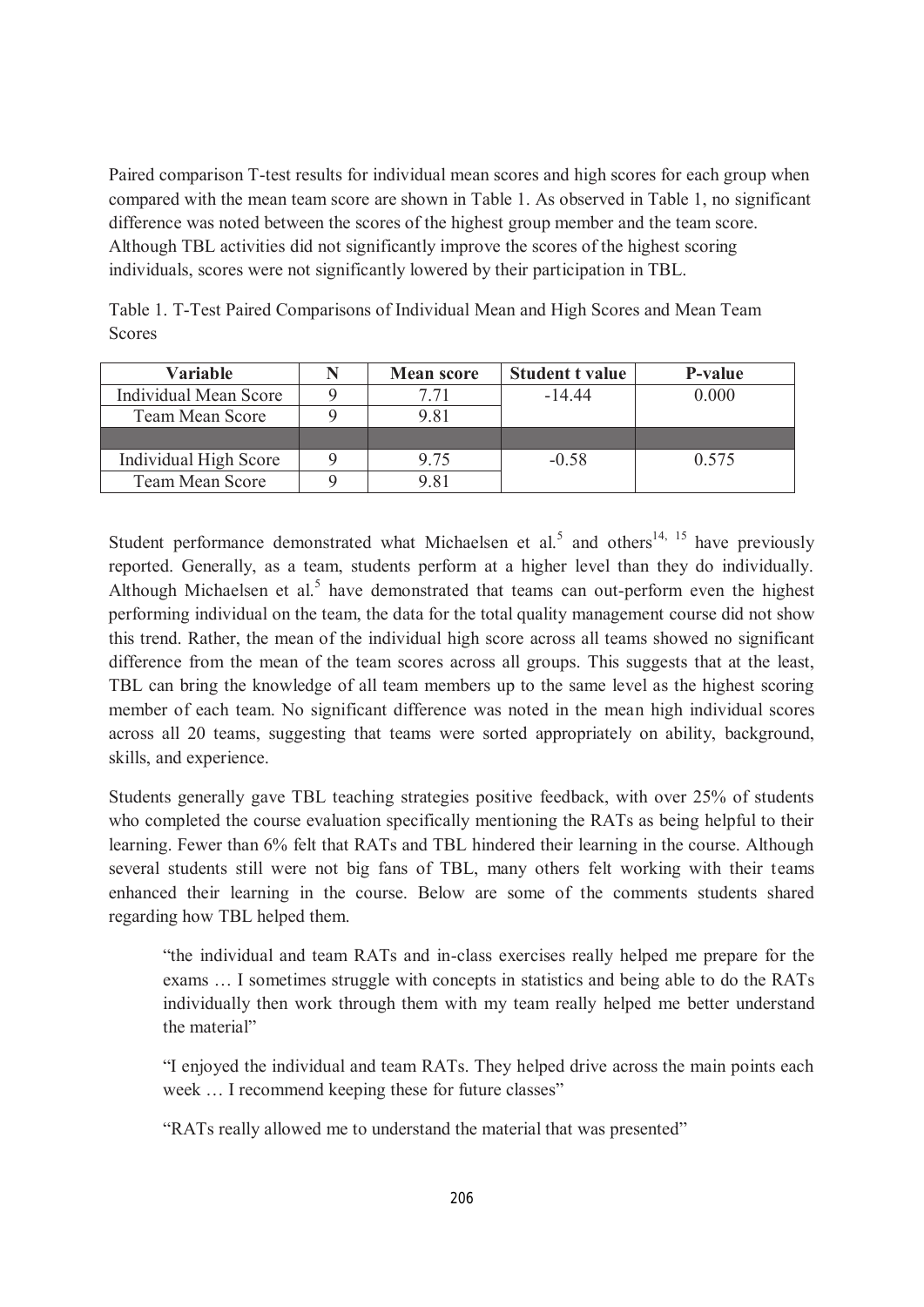Paired comparison T-test results for individual mean scores and high scores for each group when compared with the mean team score are shown in Table 1. As observed in Table 1, no significant difference was noted between the scores of the highest group member and the team score. Although TBL activities did not significantly improve the scores of the highest scoring individuals, scores were not significantly lowered by their participation in TBL.

| <b>Variable</b>        | <b>Mean score</b> | <b>Student t value</b> | <b>P-value</b> |
|------------------------|-------------------|------------------------|----------------|
| Individual Mean Score  | ' 71              | $-144$                 | 0.000          |
| <b>Team Mean Score</b> | 9.81              |                        |                |
|                        |                   |                        |                |
| Individual High Score  | 9.75              | $-0.58$                | 0.575          |
| <b>Team Mean Score</b> | 9.81              |                        |                |

Table 1. T-Test Paired Comparisons of Individual Mean and High Scores and Mean Team **Scores** 

Student performance demonstrated what Michaelsen et al.<sup>5</sup> and others<sup>14, 15</sup> have previously reported. Generally, as a team, students perform at a higher level than they do individually. Although Michaelsen et al.<sup>5</sup> have demonstrated that teams can out-perform even the highest performing individual on the team, the data for the total quality management course did not show this trend. Rather, the mean of the individual high score across all teams showed no significant difference from the mean of the team scores across all groups. This suggests that at the least, TBL can bring the knowledge of all team members up to the same level as the highest scoring member of each team. No significant difference was noted in the mean high individual scores across all 20 teams, suggesting that teams were sorted appropriately on ability, background, skills, and experience.

Students generally gave TBL teaching strategies positive feedback, with over 25% of students who completed the course evaluation specifically mentioning the RATs as being helpful to their learning. Fewer than 6% felt that RATs and TBL hindered their learning in the course. Although several students still were not big fans of TBL, many others felt working with their teams enhanced their learning in the course. Below are some of the comments students shared regarding how TBL helped them.

"the individual and team RATs and in-class exercises really helped me prepare for the exams … I sometimes struggle with concepts in statistics and being able to do the RATs individually then work through them with my team really helped me better understand the material"

"I enjoyed the individual and team RATs. They helped drive across the main points each week … I recommend keeping these for future classes"

"RATs really allowed me to understand the material that was presented"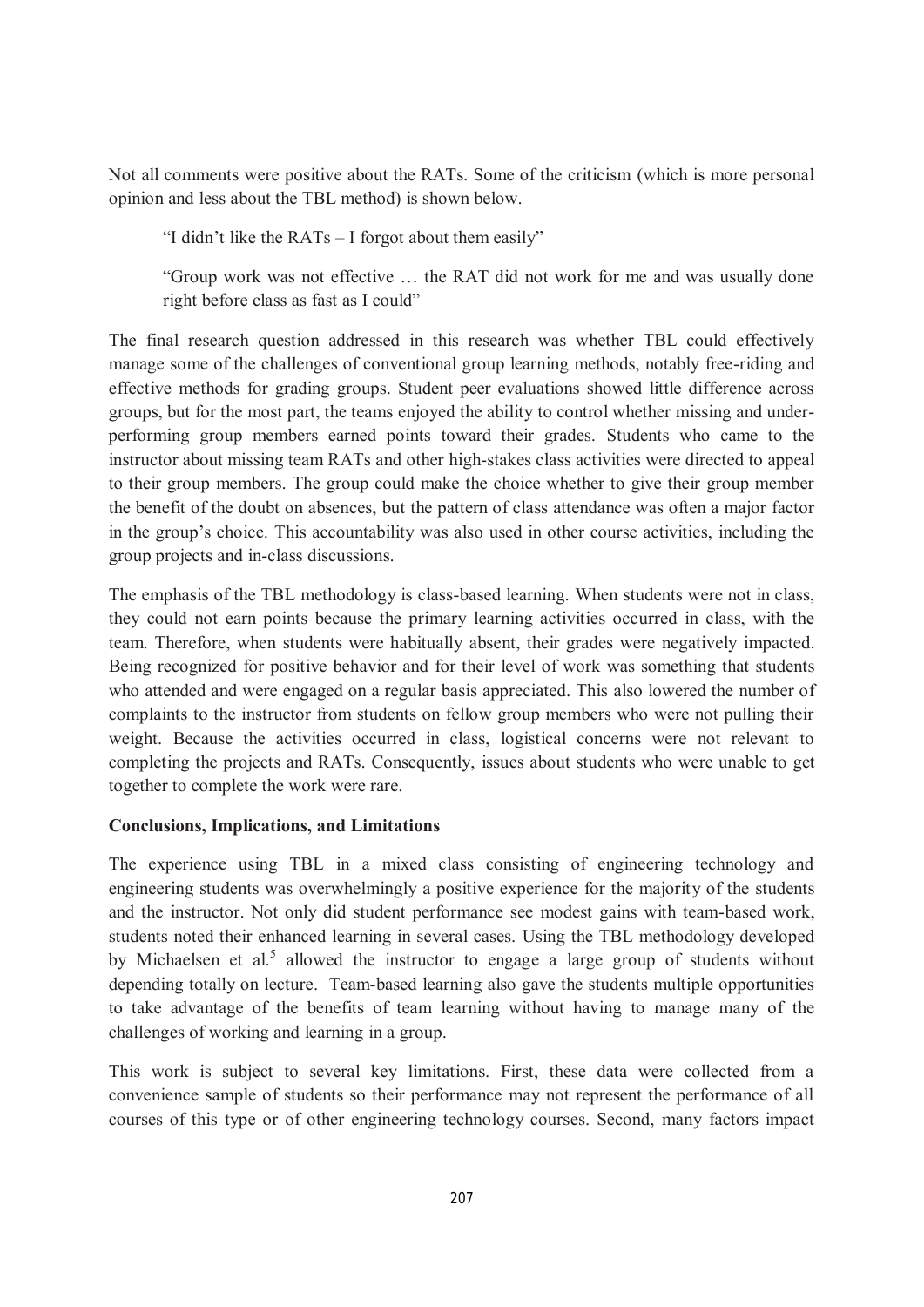Not all comments were positive about the RATs. Some of the criticism (which is more personal opinion and less about the TBL method) is shown below.

"I didn't like the RATs – I forgot about them easily"

"Group work was not effective … the RAT did not work for me and was usually done right before class as fast as I could"

The final research question addressed in this research was whether TBL could effectively manage some of the challenges of conventional group learning methods, notably free-riding and effective methods for grading groups. Student peer evaluations showed little difference across groups, but for the most part, the teams enjoyed the ability to control whether missing and underperforming group members earned points toward their grades. Students who came to the instructor about missing team RATs and other high-stakes class activities were directed to appeal to their group members. The group could make the choice whether to give their group member the benefit of the doubt on absences, but the pattern of class attendance was often a major factor in the group's choice. This accountability was also used in other course activities, including the group projects and in-class discussions.

The emphasis of the TBL methodology is class-based learning. When students were not in class, they could not earn points because the primary learning activities occurred in class, with the team. Therefore, when students were habitually absent, their grades were negatively impacted. Being recognized for positive behavior and for their level of work was something that students who attended and were engaged on a regular basis appreciated. This also lowered the number of complaints to the instructor from students on fellow group members who were not pulling their weight. Because the activities occurred in class, logistical concerns were not relevant to completing the projects and RATs. Consequently, issues about students who were unable to get together to complete the work were rare.

#### **Conclusions, Implications, and Limitations**

The experience using TBL in a mixed class consisting of engineering technology and engineering students was overwhelmingly a positive experience for the majority of the students and the instructor. Not only did student performance see modest gains with team-based work, students noted their enhanced learning in several cases. Using the TBL methodology developed by Michaelsen et al.<sup>5</sup> allowed the instructor to engage a large group of students without depending totally on lecture. Team-based learning also gave the students multiple opportunities to take advantage of the benefits of team learning without having to manage many of the challenges of working and learning in a group.

This work is subject to several key limitations. First, these data were collected from a convenience sample of students so their performance may not represent the performance of all courses of this type or of other engineering technology courses. Second, many factors impact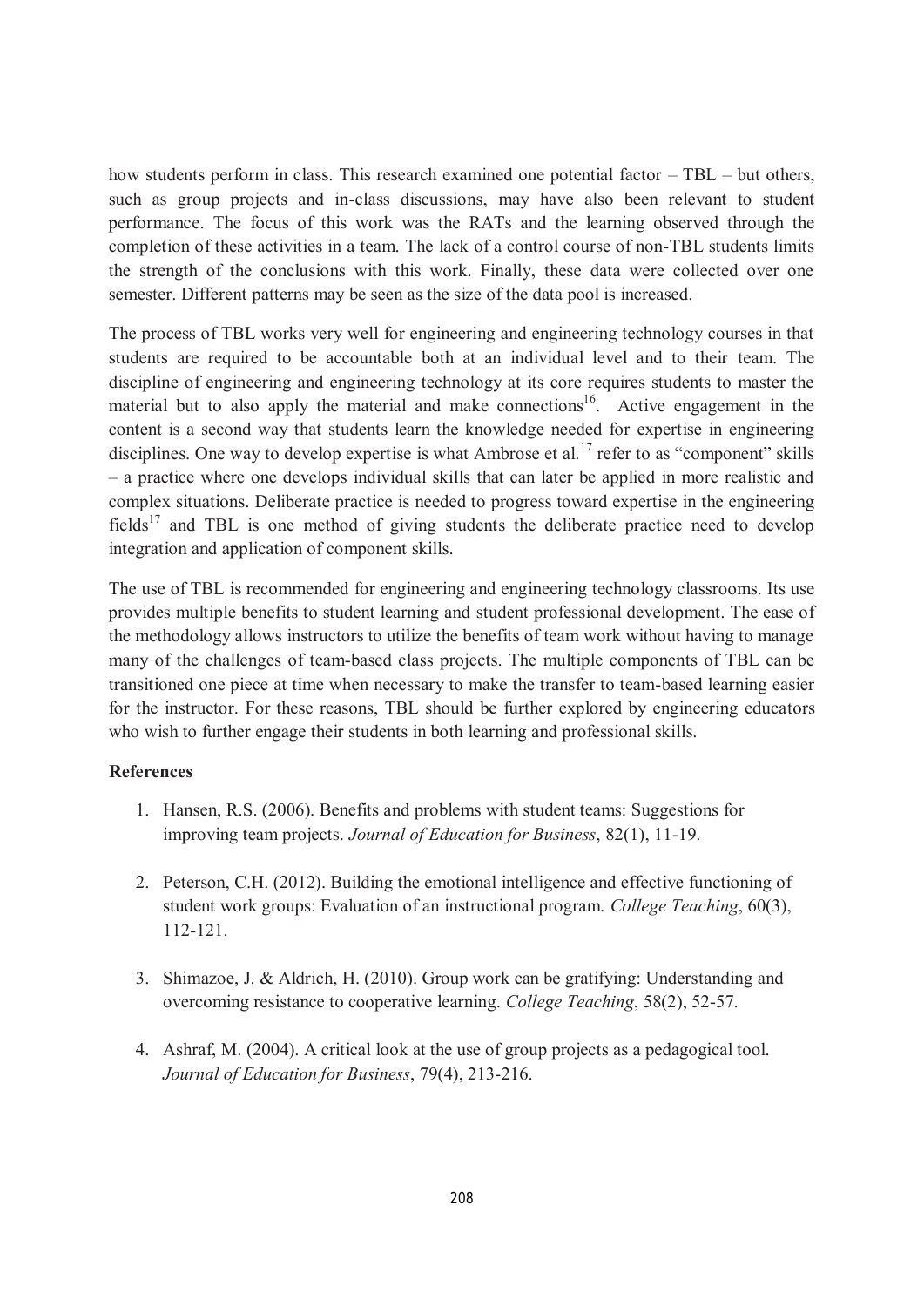how students perform in class. This research examined one potential factor – TBL – but others, such as group projects and in-class discussions, may have also been relevant to student performance. The focus of this work was the RATs and the learning observed through the completion of these activities in a team. The lack of a control course of non-TBL students limits the strength of the conclusions with this work. Finally, these data were collected over one semester. Different patterns may be seen as the size of the data pool is increased.

The process of TBL works very well for engineering and engineering technology courses in that students are required to be accountable both at an individual level and to their team. The discipline of engineering and engineering technology at its core requires students to master the material but to also apply the material and make connections<sup>16</sup>. Active engagement in the content is a second way that students learn the knowledge needed for expertise in engineering disciplines. One way to develop expertise is what Ambrose et al.<sup>17</sup> refer to as "component" skills – a practice where one develops individual skills that can later be applied in more realistic and complex situations. Deliberate practice is needed to progress toward expertise in the engineering fields<sup>17</sup> and TBL is one method of giving students the deliberate practice need to develop integration and application of component skills.

The use of TBL is recommended for engineering and engineering technology classrooms. Its use provides multiple benefits to student learning and student professional development. The ease of the methodology allows instructors to utilize the benefits of team work without having to manage many of the challenges of team-based class projects. The multiple components of TBL can be transitioned one piece at time when necessary to make the transfer to team-based learning easier for the instructor. For these reasons, TBL should be further explored by engineering educators who wish to further engage their students in both learning and professional skills.

#### **References**

- 1. Hansen, R.S. (2006). Benefits and problems with student teams: Suggestions for improving team projects. *Journal of Education for Business*, 82(1), 11-19.
- 2. Peterson, C.H. (2012). Building the emotional intelligence and effective functioning of student work groups: Evaluation of an instructional program. *College Teaching*, 60(3), 112-121.
- 3. Shimazoe, J. & Aldrich, H. (2010). Group work can be gratifying: Understanding and overcoming resistance to cooperative learning. *College Teaching*, 58(2), 52-57.
- 4. Ashraf, M. (2004). A critical look at the use of group projects as a pedagogical tool. *Journal of Education for Business*, 79(4), 213-216.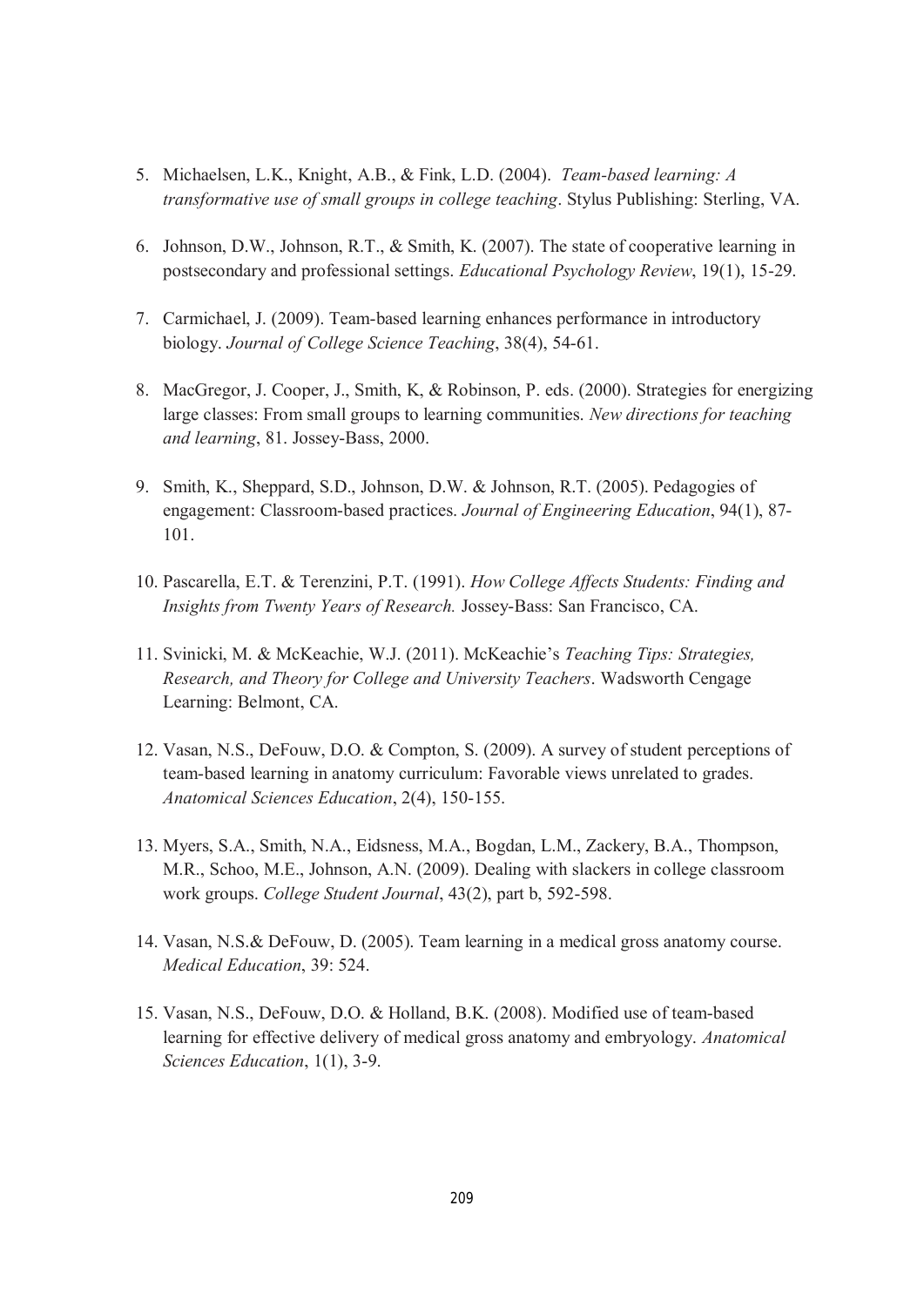- 5. Michaelsen, L.K., Knight, A.B., & Fink, L.D. (2004). *Team-based learning: A transformative use of small groups in college teaching*. Stylus Publishing: Sterling, VA.
- 6. Johnson, D.W., Johnson, R.T., & Smith, K. (2007). The state of cooperative learning in postsecondary and professional settings. *Educational Psychology Review*, 19(1), 15-29.
- 7. Carmichael, J. (2009). Team-based learning enhances performance in introductory biology. *Journal of College Science Teaching*, 38(4), 54-61.
- 8. MacGregor, J. Cooper, J., Smith, K, & Robinson, P. eds. (2000). Strategies for energizing large classes: From small groups to learning communities. *New directions for teaching and learning*, 81. Jossey-Bass, 2000.
- 9. Smith, K., Sheppard, S.D., Johnson, D.W. & Johnson, R.T. (2005). Pedagogies of engagement: Classroom-based practices. *Journal of Engineering Education*, 94(1), 87- 101.
- 10. Pascarella, E.T. & Terenzini, P.T. (1991). *How College Affects Students: Finding and Insights from Twenty Years of Research.* Jossey-Bass: San Francisco, CA.
- 11. Svinicki, M. & McKeachie, W.J. (2011). McKeachie's *Teaching Tips: Strategies, Research, and Theory for College and University Teachers*. Wadsworth Cengage Learning: Belmont, CA.
- 12. Vasan, N.S., DeFouw, D.O. & Compton, S. (2009). A survey of student perceptions of team-based learning in anatomy curriculum: Favorable views unrelated to grades. *Anatomical Sciences Education*, 2(4), 150-155.
- 13. Myers, S.A., Smith, N.A., Eidsness, M.A., Bogdan, L.M., Zackery, B.A., Thompson, M.R., Schoo, M.E., Johnson, A.N. (2009). Dealing with slackers in college classroom work groups. *College Student Journal*, 43(2), part b, 592-598.
- 14. Vasan, N.S.& DeFouw, D. (2005). Team learning in a medical gross anatomy course. *Medical Education*, 39: 524.
- 15. Vasan, N.S., DeFouw, D.O. & Holland, B.K. (2008). Modified use of team-based learning for effective delivery of medical gross anatomy and embryology. *Anatomical Sciences Education*, 1(1), 3-9.